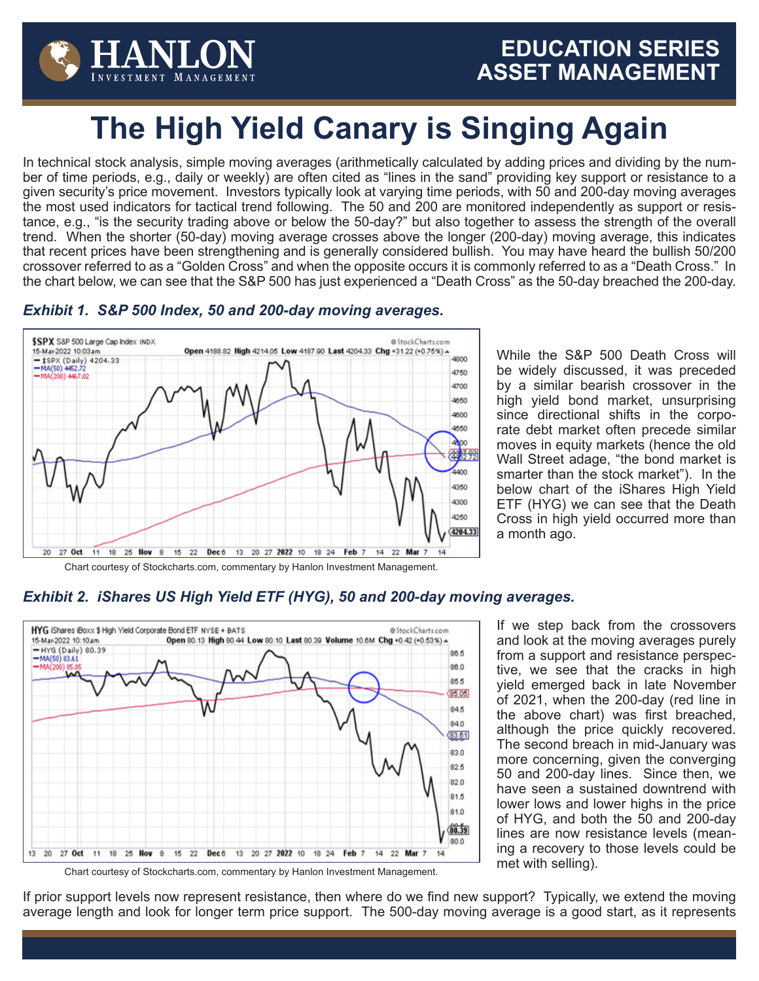

# **The High Yield Canary is Singing Again**

In technical stock analysis, simple moving averages (arithmetically calculated by adding prices and dividing by the number of time periods, e.g., daily or weekly) are often cited as "lines in the sand" providing key support or resistance to a given security's price movement. Investors typically look at varying time periods, with 50 and 200-day moving averages the most used indicators for tactical trend following. The 50 and 200 are monitored independently as support or resistance, e.g., "is the security trading above or below the 50-day?" but also together to assess the strength of the overall trend. When the shorter (50-day) moving average crosses above the longer (200-day) moving average, this indicates that recent prices have been strengthening and is generally considered bullish. You may have heard the bullish 50/200 crossover referred to as a "Golden Cross" and when the opposite occurs it is commonly referred to as a "Death Cross." In the chart below, we can see that the S&P 500 has just experienced a "Death Cross" as the 50-day breached the 200-day.

#### **\$SPX** S8P 500 Large Cap Index INDX @StockCharts.com 15-Mar-2022 10:03am Open 4188.82 High 4214.05 Low 4187.90 Last 4204.33 Chg +31.22 (+0.75%) ^ 4800 \$SPX (Daily) 4204.33  $-MA(50)$  4452.72<br>-MA(200) 4467.02 4750 4700 4650 4600 4550 4800  $43.702$ 4400 4350 4300 4250 4204.33  $20<sub>2</sub>$ 27 Oct 11 18 25 Nov 8 15 22 Dec 6 13 20 27 2022 10 18 24 Feb 7 14 22 Mar 7  $14$ Chart courtesy of Stockcharts.com, commentary by Hanlon Investment Management.

#### *Exhibit 1. S&P 500 Index, 50 and 200-day moving averages.*

While the S&P 500 Death Cross will be widely discussed, it was preceded by a similar bearish crossover in the high yield bond market, unsurprising since directional shifts in the corporate debt market often precede similar moves in equity markets (hence the old Wall Street adage, "the bond market is smarter than the stock market"). In the below chart of the iShares High Yield ETF (HYG) we can see that the Death Cross in high yield occurred more than a month ago.

### *Exhibit 2. iShares US High Yield ETF (HYG), 50 and 200-day moving averages.*



If we step back from the crossovers and look at the moving averages purely from a support and resistance perspective, we see that the cracks in high yield emerged back in late November of 2021, when the 200-day (red line in the above chart) was first breached, although the price quickly recovered. The second breach in mid-January was more concerning, given the converging 50 and 200-day lines. Since then, we have seen a sustained downtrend with lower lows and lower highs in the price of HYG, and both the 50 and 200-day lines are now resistance levels (meaning a recovery to those levels could be met with selling).

Chart courtesy of Stockcharts.com, commentary by Hanlon Investment Management.

If prior support levels now represent resistance, then where do we find new support? Typically, we extend the moving average length and look for longer term price support. The 500-day moving average is a good start, as it represents